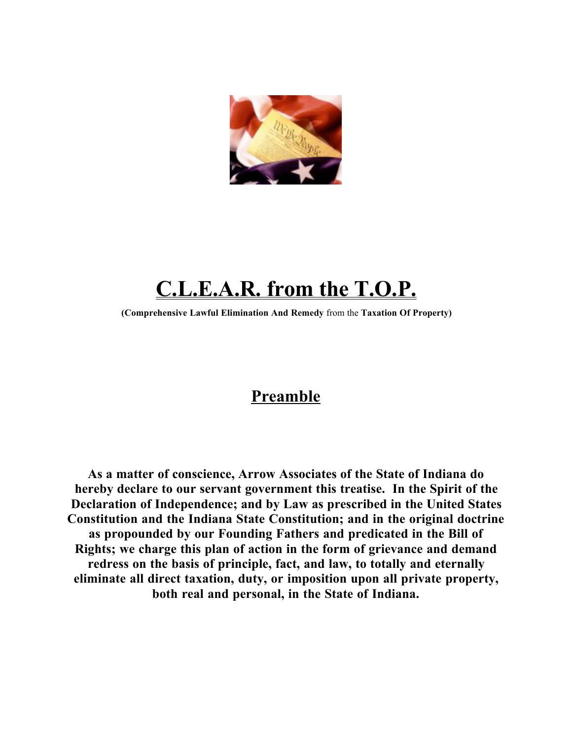

# **C.L.E.A.R. from the T.O.P.**

**(Comprehensive Lawful Elimination And Remedy** from the **Taxation Of Property)**

## **Preamble**

**As a matter of conscience, Arrow Associates of the State of Indiana do hereby declare to our servant government this treatise. In the Spirit of the Declaration of Independence; and by Law as prescribed in the United States Constitution and the Indiana State Constitution; and in the original doctrine as propounded by our Founding Fathers and predicated in the Bill of Rights; we charge this plan of action in the form of grievance and demand redress on the basis of principle, fact, and law, to totally and eternally eliminate all direct taxation, duty, or imposition upon all private property, both real and personal, in the State of Indiana.**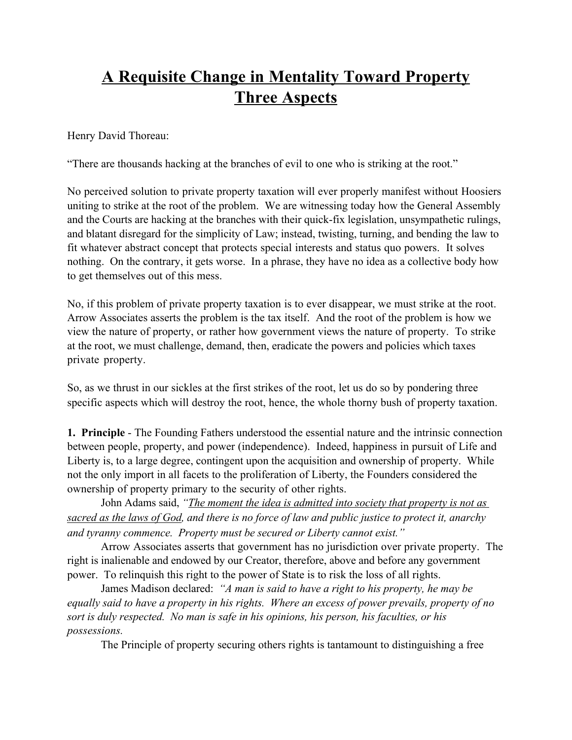## **A Requisite Change in Mentality Toward Property Three Aspects**

Henry David Thoreau:

"There are thousands hacking at the branches of evil to one who is striking at the root."

No perceived solution to private property taxation will ever properly manifest without Hoosiers uniting to strike at the root of the problem. We are witnessing today how the General Assembly and the Courts are hacking at the branches with their quick-fix legislation, unsympathetic rulings, and blatant disregard for the simplicity of Law; instead, twisting, turning, and bending the law to fit whatever abstract concept that protects special interests and status quo powers. It solves nothing. On the contrary, it gets worse. In a phrase, they have no idea as a collective body how to get themselves out of this mess.

No, if this problem of private property taxation is to ever disappear, we must strike at the root. Arrow Associates asserts the problem is the tax itself. And the root of the problem is how we view the nature of property, or rather how government views the nature of property. To strike at the root, we must challenge, demand, then, eradicate the powers and policies which taxes private property.

So, as we thrust in our sickles at the first strikes of the root, let us do so by pondering three specific aspects which will destroy the root, hence, the whole thorny bush of property taxation.

**1. Principle** - The Founding Fathers understood the essential nature and the intrinsic connection between people, property, and power (independence). Indeed, happiness in pursuit of Life and Liberty is, to a large degree, contingent upon the acquisition and ownership of property. While not the only import in all facets to the proliferation of Liberty, the Founders considered the ownership of property primary to the security of other rights.

John Adams said, *"The moment the idea is admitted into society that property is not as sacred as the laws of God, and there is no force of law and public justice to protect it, anarchy and tyranny commence. Property must be secured or Liberty cannot exist."*

Arrow Associates asserts that government has no jurisdiction over private property. The right is inalienable and endowed by our Creator, therefore, above and before any government power. To relinquish this right to the power of State is to risk the loss of all rights.

James Madison declared: *"A man is said to have a right to his property, he may be equally said to have a property in his rights. Where an excess of power prevails, property of no sort is duly respected. No man is safe in his opinions, his person, his faculties, or his possessions.*

The Principle of property securing others rights is tantamount to distinguishing a free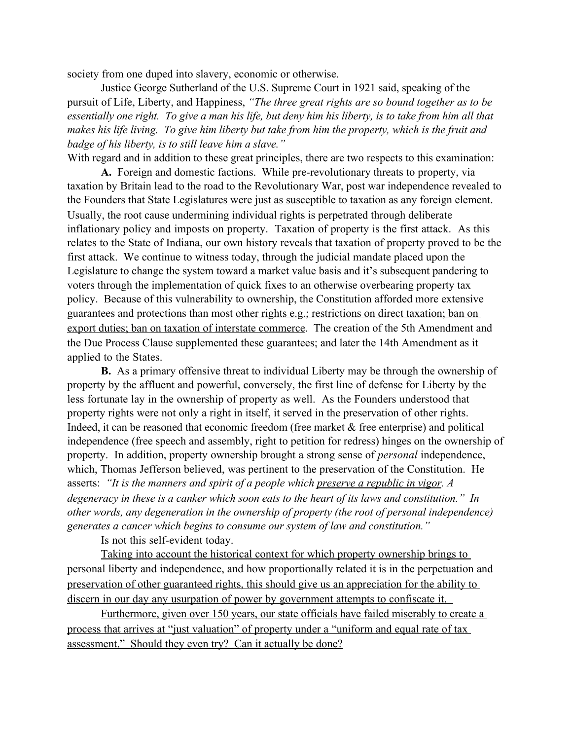society from one duped into slavery, economic or otherwise.

Justice George Sutherland of the U.S. Supreme Court in 1921 said, speaking of the pursuit of Life, Liberty, and Happiness, *"The three great rights are so bound together as to be essentially one right. To give a man his life, but deny him his liberty, is to take from him all that makes his life living. To give him liberty but take from him the property, which is the fruit and badge of his liberty, is to still leave him a slave."* 

With regard and in addition to these great principles, there are two respects to this examination:

**A.** Foreign and domestic factions. While pre-revolutionary threats to property, via taxation by Britain lead to the road to the Revolutionary War, post war independence revealed to the Founders that State Legislatures were just as susceptible to taxation as any foreign element. Usually, the root cause undermining individual rights is perpetrated through deliberate inflationary policy and imposts on property. Taxation of property is the first attack. As this relates to the State of Indiana, our own history reveals that taxation of property proved to be the first attack. We continue to witness today, through the judicial mandate placed upon the Legislature to change the system toward a market value basis and it's subsequent pandering to voters through the implementation of quick fixes to an otherwise overbearing property tax policy. Because of this vulnerability to ownership, the Constitution afforded more extensive guarantees and protections than most other rights e.g.; restrictions on direct taxation; ban on export duties; ban on taxation of interstate commerce. The creation of the 5th Amendment and the Due Process Clause supplemented these guarantees; and later the 14th Amendment as it applied to the States.

**B.** As a primary offensive threat to individual Liberty may be through the ownership of property by the affluent and powerful, conversely, the first line of defense for Liberty by the less fortunate lay in the ownership of property as well. As the Founders understood that property rights were not only a right in itself, it served in the preservation of other rights. Indeed, it can be reasoned that economic freedom (free market & free enterprise) and political independence (free speech and assembly, right to petition for redress) hinges on the ownership of property. In addition, property ownership brought a strong sense of *personal* independence, which, Thomas Jefferson believed, was pertinent to the preservation of the Constitution. He asserts: *"It is the manners and spirit of a people which preserve a republic in vigor. A degeneracy in these is a canker which soon eats to the heart of its laws and constitution." In other words, any degeneration in the ownership of property (the root of personal independence) generates a cancer which begins to consume our system of law and constitution."*

Is not this self-evident today.

Taking into account the historical context for which property ownership brings to personal liberty and independence, and how proportionally related it is in the perpetuation and preservation of other guaranteed rights, this should give us an appreciation for the ability to discern in our day any usurpation of power by government attempts to confiscate it.

Furthermore, given over 150 years, our state officials have failed miserably to create a process that arrives at "just valuation" of property under a "uniform and equal rate of tax assessment." Should they even try? Can it actually be done?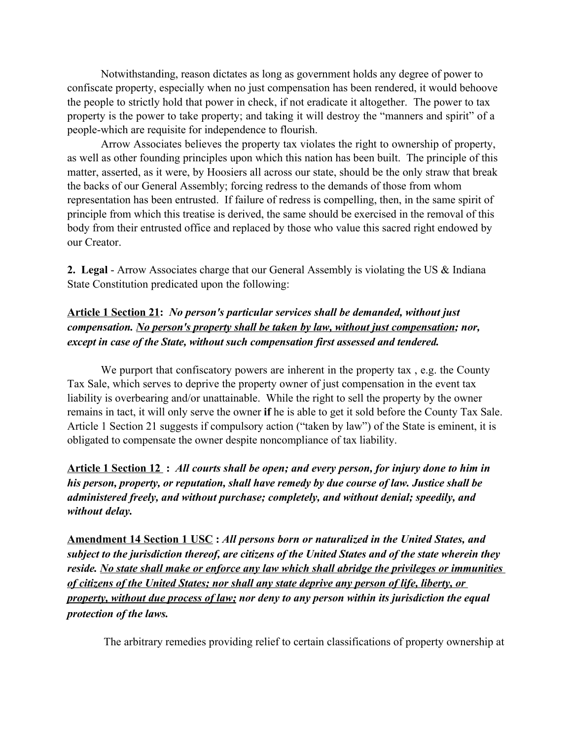Notwithstanding, reason dictates as long as government holds any degree of power to confiscate property, especially when no just compensation has been rendered, it would behoove the people to strictly hold that power in check, if not eradicate it altogether. The power to tax property is the power to take property; and taking it will destroy the "manners and spirit" of a people-which are requisite for independence to flourish.

Arrow Associates believes the property tax violates the right to ownership of property, as well as other founding principles upon which this nation has been built. The principle of this matter, asserted, as it were, by Hoosiers all across our state, should be the only straw that break the backs of our General Assembly; forcing redress to the demands of those from whom representation has been entrusted. If failure of redress is compelling, then, in the same spirit of principle from which this treatise is derived, the same should be exercised in the removal of this body from their entrusted office and replaced by those who value this sacred right endowed by our Creator.

**2. Legal** - Arrow Associates charge that our General Assembly is violating the US & Indiana State Constitution predicated upon the following:

### **Article 1 Section 21:** *No person's particular services shall be demanded, without just compensation. No person's property shall be taken by law, without just compensation; nor, except in case of the State, without such compensation first assessed and tendered.*

We purport that confiscatory powers are inherent in the property tax, e.g. the County Tax Sale, which serves to deprive the property owner of just compensation in the event tax liability is overbearing and/or unattainable. While the right to sell the property by the owner remains in tact, it will only serve the owner **if** he is able to get it sold before the County Tax Sale. Article 1 Section 21 suggests if compulsory action ("taken by law") of the State is eminent, it is obligated to compensate the owner despite noncompliance of tax liability.

**Article 1 Section 12 :** *All courts shall be open; and every person, for injury done to him in his person, property, or reputation, shall have remedy by due course of law. Justice shall be administered freely, and without purchase; completely, and without denial; speedily, and without delay.*

**Amendment 14 Section 1 USC :** *All persons born or naturalized in the United States, and subject to the jurisdiction thereof, are citizens of the United States and of the state wherein they reside. No state shall make or enforce any law which shall abridge the privileges or immunities of citizens of the United States; nor shall any state deprive any person of life, liberty, or property, without due process of law; nor deny to any person within its jurisdiction the equal protection of the laws.*

The arbitrary remedies providing relief to certain classifications of property ownership at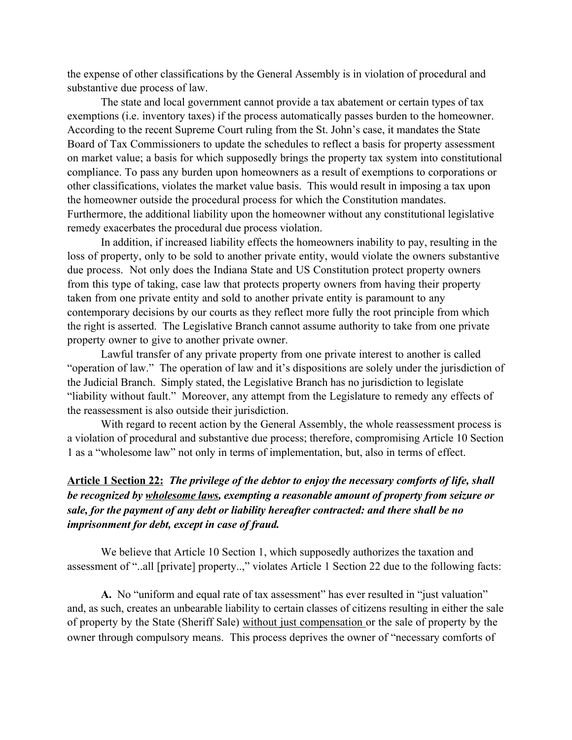the expense of other classifications by the General Assembly is in violation of procedural and substantive due process of law.

The state and local government cannot provide a tax abatement or certain types of tax exemptions (i.e. inventory taxes) if the process automatically passes burden to the homeowner. According to the recent Supreme Court ruling from the St. John's case, it mandates the State Board of Tax Commissioners to update the schedules to reflect a basis for property assessment on market value; a basis for which supposedly brings the property tax system into constitutional compliance. To pass any burden upon homeowners as a result of exemptions to corporations or other classifications, violates the market value basis. This would result in imposing a tax upon the homeowner outside the procedural process for which the Constitution mandates. Furthermore, the additional liability upon the homeowner without any constitutional legislative remedy exacerbates the procedural due process violation.

In addition, if increased liability effects the homeowners inability to pay, resulting in the loss of property, only to be sold to another private entity, would violate the owners substantive due process. Not only does the Indiana State and US Constitution protect property owners from this type of taking, case law that protects property owners from having their property taken from one private entity and sold to another private entity is paramount to any contemporary decisions by our courts as they reflect more fully the root principle from which the right is asserted. The Legislative Branch cannot assume authority to take from one private property owner to give to another private owner.

Lawful transfer of any private property from one private interest to another is called "operation of law." The operation of law and it's dispositions are solely under the jurisdiction of the Judicial Branch. Simply stated, the Legislative Branch has no jurisdiction to legislate "liability without fault." Moreover, any attempt from the Legislature to remedy any effects of the reassessment is also outside their jurisdiction.

With regard to recent action by the General Assembly, the whole reassessment process is a violation of procedural and substantive due process; therefore, compromising Article 10 Section 1 as a "wholesome law" not only in terms of implementation, but, also in terms of effect.

### **Article 1 Section 22:** *The privilege of the debtor to enjoy the necessary comforts of life, shall be recognized by wholesome laws, exempting a reasonable amount of property from seizure or sale, for the payment of any debt or liability hereafter contracted: and there shall be no imprisonment for debt, except in case of fraud.*

We believe that Article 10 Section 1, which supposedly authorizes the taxation and assessment of "..all [private] property..," violates Article 1 Section 22 due to the following facts:

**A.** No "uniform and equal rate of tax assessment" has ever resulted in "just valuation" and, as such, creates an unbearable liability to certain classes of citizens resulting in either the sale of property by the State (Sheriff Sale) without just compensation or the sale of property by the owner through compulsory means. This process deprives the owner of "necessary comforts of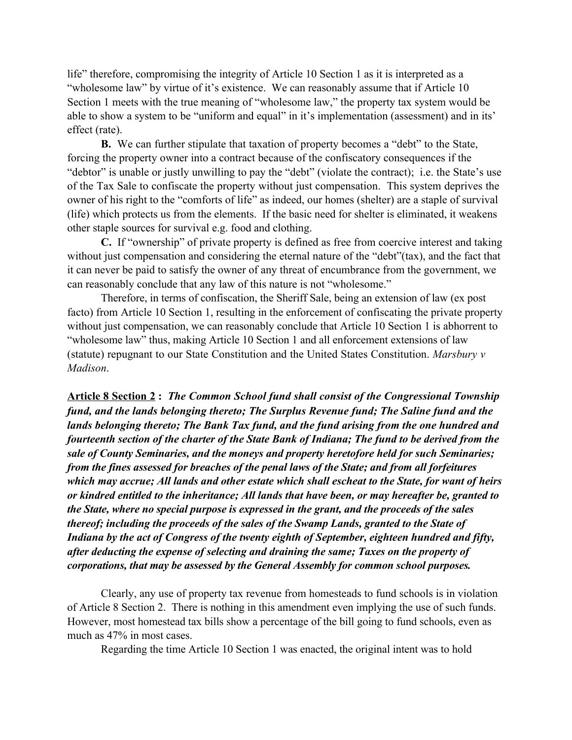life" therefore, compromising the integrity of Article 10 Section 1 as it is interpreted as a "wholesome law" by virtue of it's existence. We can reasonably assume that if Article 10 Section 1 meets with the true meaning of "wholesome law," the property tax system would be able to show a system to be "uniform and equal" in it's implementation (assessment) and in its' effect (rate).

**B.** We can further stipulate that taxation of property becomes a "debt" to the State, forcing the property owner into a contract because of the confiscatory consequences if the "debtor" is unable or justly unwilling to pay the "debt" (violate the contract); i.e. the State's use of the Tax Sale to confiscate the property without just compensation. This system deprives the owner of his right to the "comforts of life" as indeed, our homes (shelter) are a staple of survival (life) which protects us from the elements. If the basic need for shelter is eliminated, it weakens other staple sources for survival e.g. food and clothing.

**C.** If "ownership" of private property is defined as free from coercive interest and taking without just compensation and considering the eternal nature of the "debt"(tax), and the fact that it can never be paid to satisfy the owner of any threat of encumbrance from the government, we can reasonably conclude that any law of this nature is not "wholesome."

Therefore, in terms of confiscation, the Sheriff Sale, being an extension of law (ex post facto) from Article 10 Section 1, resulting in the enforcement of confiscating the private property without just compensation, we can reasonably conclude that Article 10 Section 1 is abhorrent to "wholesome law" thus, making Article 10 Section 1 and all enforcement extensions of law (statute) repugnant to our State Constitution and the United States Constitution. *Marsbury v Madison*.

**Article 8 Section 2 :** *The Common School fund shall consist of the Congressional Township fund, and the lands belonging thereto; The Surplus Revenue fund; The Saline fund and the lands belonging thereto; The Bank Tax fund, and the fund arising from the one hundred and fourteenth section of the charter of the State Bank of Indiana; The fund to be derived from the sale of County Seminaries, and the moneys and property heretofore held for such Seminaries; from the fines assessed for breaches of the penal laws of the State; and from all forfeitures which may accrue; All lands and other estate which shall escheat to the State, for want of heirs or kindred entitled to the inheritance; All lands that have been, or may hereafter be, granted to the State, where no special purpose is expressed in the grant, and the proceeds of the sales thereof; including the proceeds of the sales of the Swamp Lands, granted to the State of Indiana by the act of Congress of the twenty eighth of September, eighteen hundred and fifty, after deducting the expense of selecting and draining the same; Taxes on the property of corporations, that may be assessed by the General Assembly for common school purposes.*

Clearly, any use of property tax revenue from homesteads to fund schools is in violation of Article 8 Section 2. There is nothing in this amendment even implying the use of such funds. However, most homestead tax bills show a percentage of the bill going to fund schools, even as much as 47% in most cases.

Regarding the time Article 10 Section 1 was enacted, the original intent was to hold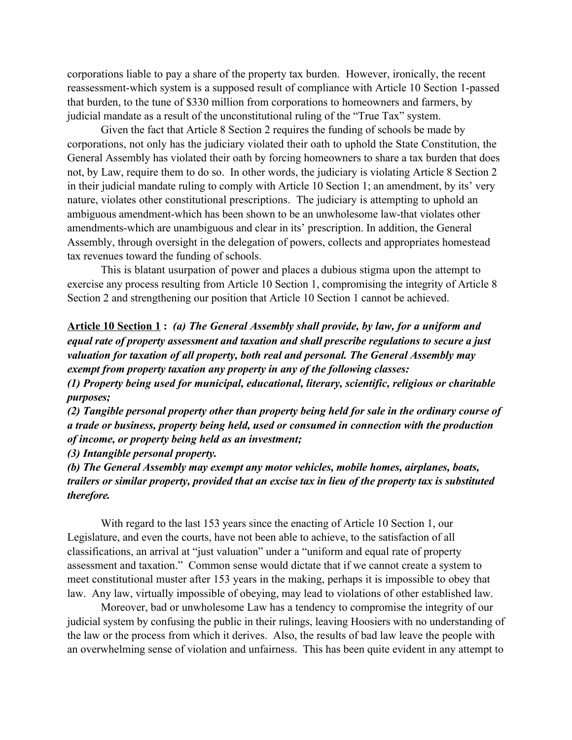corporations liable to pay a share of the property tax burden. However, ironically, the recent reassessment-which system is a supposed result of compliance with Article 10 Section 1-passed that burden, to the tune of \$330 million from corporations to homeowners and farmers, by judicial mandate as a result of the unconstitutional ruling of the "True Tax" system.

Given the fact that Article 8 Section 2 requires the funding of schools be made by corporations, not only has the judiciary violated their oath to uphold the State Constitution, the General Assembly has violated their oath by forcing homeowners to share a tax burden that does not, by Law, require them to do so. In other words, the judiciary is violating Article 8 Section 2 in their judicial mandate ruling to comply with Article 10 Section 1; an amendment, by its' very nature, violates other constitutional prescriptions. The judiciary is attempting to uphold an ambiguous amendment-which has been shown to be an unwholesome law-that violates other amendments-which are unambiguous and clear in its' prescription. In addition, the General Assembly, through oversight in the delegation of powers, collects and appropriates homestead tax revenues toward the funding of schools.

This is blatant usurpation of power and places a dubious stigma upon the attempt to exercise any process resulting from Article 10 Section 1, compromising the integrity of Article 8 Section 2 and strengthening our position that Article 10 Section 1 cannot be achieved.

**Article 10 Section 1 :** *(a) The General Assembly shall provide, by law, for a uniform and equal rate of property assessment and taxation and shall prescribe regulations to secure a just valuation for taxation of all property, both real and personal. The General Assembly may exempt from property taxation any property in any of the following classes:* 

*(1) Property being used for municipal, educational, literary, scientific, religious or charitable purposes;* 

*(2) Tangible personal property other than property being held for sale in the ordinary course of a trade or business, property being held, used or consumed in connection with the production of income, or property being held as an investment;* 

*(3) Intangible personal property.* 

*(b) The General Assembly may exempt any motor vehicles, mobile homes, airplanes, boats, trailers or similar property, provided that an excise tax in lieu of the property tax is substituted therefore.*

With regard to the last 153 years since the enacting of Article 10 Section 1, our Legislature, and even the courts, have not been able to achieve, to the satisfaction of all classifications, an arrival at "just valuation" under a "uniform and equal rate of property assessment and taxation." Common sense would dictate that if we cannot create a system to meet constitutional muster after 153 years in the making, perhaps it is impossible to obey that law. Any law, virtually impossible of obeying, may lead to violations of other established law.

Moreover, bad or unwholesome Law has a tendency to compromise the integrity of our judicial system by confusing the public in their rulings, leaving Hoosiers with no understanding of the law or the process from which it derives. Also, the results of bad law leave the people with an overwhelming sense of violation and unfairness. This has been quite evident in any attempt to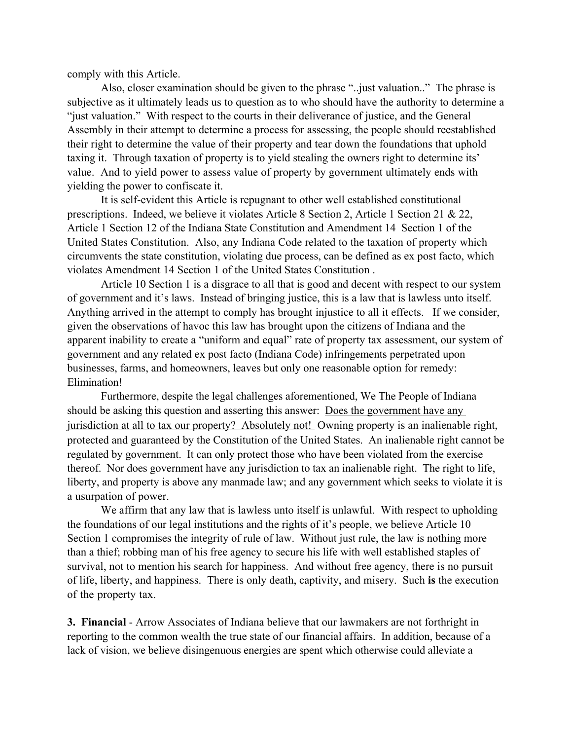comply with this Article.

Also, closer examination should be given to the phrase "..just valuation.." The phrase is subjective as it ultimately leads us to question as to who should have the authority to determine a "just valuation." With respect to the courts in their deliverance of justice, and the General Assembly in their attempt to determine a process for assessing, the people should reestablished their right to determine the value of their property and tear down the foundations that uphold taxing it. Through taxation of property is to yield stealing the owners right to determine its' value. And to yield power to assess value of property by government ultimately ends with yielding the power to confiscate it.

It is self-evident this Article is repugnant to other well established constitutional prescriptions. Indeed, we believe it violates Article 8 Section 2, Article 1 Section 21 & 22, Article 1 Section 12 of the Indiana State Constitution and Amendment 14 Section 1 of the United States Constitution. Also, any Indiana Code related to the taxation of property which circumvents the state constitution, violating due process, can be defined as ex post facto, which violates Amendment 14 Section 1 of the United States Constitution .

Article 10 Section 1 is a disgrace to all that is good and decent with respect to our system of government and it's laws. Instead of bringing justice, this is a law that is lawless unto itself. Anything arrived in the attempt to comply has brought injustice to all it effects. If we consider, given the observations of havoc this law has brought upon the citizens of Indiana and the apparent inability to create a "uniform and equal" rate of property tax assessment, our system of government and any related ex post facto (Indiana Code) infringements perpetrated upon businesses, farms, and homeowners, leaves but only one reasonable option for remedy: Elimination!

Furthermore, despite the legal challenges aforementioned, We The People of Indiana should be asking this question and asserting this answer: Does the government have any jurisdiction at all to tax our property? Absolutely not! Owning property is an inalienable right, protected and guaranteed by the Constitution of the United States. An inalienable right cannot be regulated by government. It can only protect those who have been violated from the exercise thereof. Nor does government have any jurisdiction to tax an inalienable right. The right to life, liberty, and property is above any manmade law; and any government which seeks to violate it is a usurpation of power.

We affirm that any law that is lawless unto itself is unlawful. With respect to upholding the foundations of our legal institutions and the rights of it's people, we believe Article 10 Section 1 compromises the integrity of rule of law. Without just rule, the law is nothing more than a thief; robbing man of his free agency to secure his life with well established staples of survival, not to mention his search for happiness. And without free agency, there is no pursuit of life, liberty, and happiness. There is only death, captivity, and misery. Such **is** the execution of the property tax.

**3. Financial** - Arrow Associates of Indiana believe that our lawmakers are not forthright in reporting to the common wealth the true state of our financial affairs. In addition, because of a lack of vision, we believe disingenuous energies are spent which otherwise could alleviate a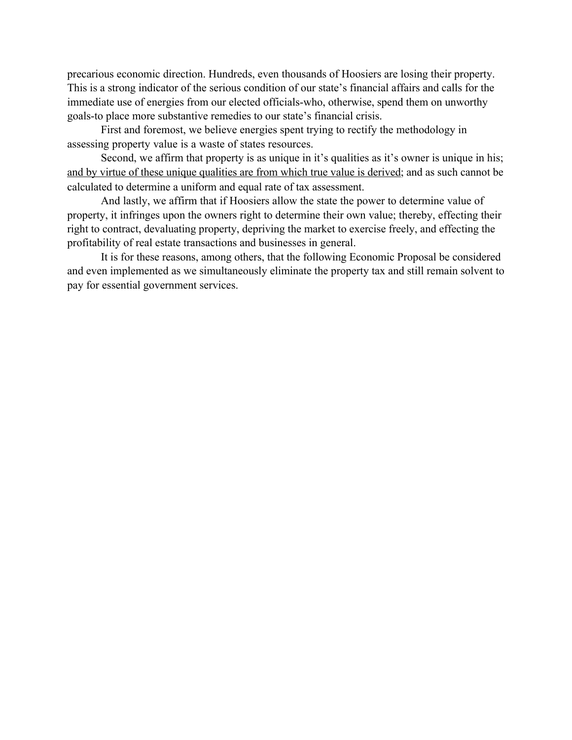precarious economic direction. Hundreds, even thousands of Hoosiers are losing their property. This is a strong indicator of the serious condition of our state's financial affairs and calls for the immediate use of energies from our elected officials-who, otherwise, spend them on unworthy goals-to place more substantive remedies to our state's financial crisis.

First and foremost, we believe energies spent trying to rectify the methodology in assessing property value is a waste of states resources.

Second, we affirm that property is as unique in it's qualities as it's owner is unique in his; and by virtue of these unique qualities are from which true value is derived; and as such cannot be calculated to determine a uniform and equal rate of tax assessment.

And lastly, we affirm that if Hoosiers allow the state the power to determine value of property, it infringes upon the owners right to determine their own value; thereby, effecting their right to contract, devaluating property, depriving the market to exercise freely, and effecting the profitability of real estate transactions and businesses in general.

It is for these reasons, among others, that the following Economic Proposal be considered and even implemented as we simultaneously eliminate the property tax and still remain solvent to pay for essential government services.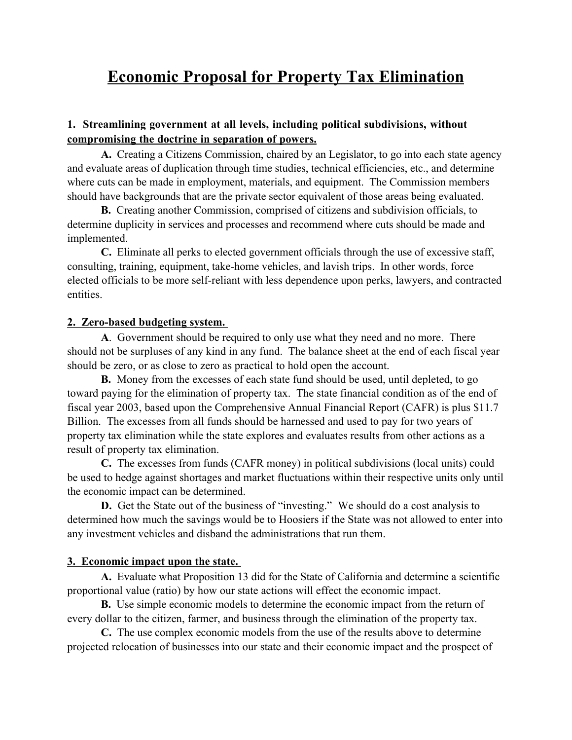### **Economic Proposal for Property Tax Elimination**

### **1. Streamlining government at all levels, including political subdivisions, without compromising the doctrine in separation of powers.**

**A.** Creating a Citizens Commission, chaired by an Legislator, to go into each state agency and evaluate areas of duplication through time studies, technical efficiencies, etc., and determine where cuts can be made in employment, materials, and equipment. The Commission members should have backgrounds that are the private sector equivalent of those areas being evaluated.

**B.** Creating another Commission, comprised of citizens and subdivision officials, to determine duplicity in services and processes and recommend where cuts should be made and implemented.

**C.** Eliminate all perks to elected government officials through the use of excessive staff, consulting, training, equipment, take-home vehicles, and lavish trips. In other words, force elected officials to be more self-reliant with less dependence upon perks, lawyers, and contracted entities.

### **2. Zero-based budgeting system.**

**A**. Government should be required to only use what they need and no more. There should not be surpluses of any kind in any fund. The balance sheet at the end of each fiscal year should be zero, or as close to zero as practical to hold open the account.

**B.** Money from the excesses of each state fund should be used, until depleted, to go toward paying for the elimination of property tax. The state financial condition as of the end of fiscal year 2003, based upon the Comprehensive Annual Financial Report (CAFR) is plus \$11.7 Billion. The excesses from all funds should be harnessed and used to pay for two years of property tax elimination while the state explores and evaluates results from other actions as a result of property tax elimination.

**C.** The excesses from funds (CAFR money) in political subdivisions (local units) could be used to hedge against shortages and market fluctuations within their respective units only until the economic impact can be determined.

**D.** Get the State out of the business of "investing." We should do a cost analysis to determined how much the savings would be to Hoosiers if the State was not allowed to enter into any investment vehicles and disband the administrations that run them.

### **3. Economic impact upon the state.**

**A.** Evaluate what Proposition 13 did for the State of California and determine a scientific proportional value (ratio) by how our state actions will effect the economic impact.

**B.** Use simple economic models to determine the economic impact from the return of every dollar to the citizen, farmer, and business through the elimination of the property tax.

**C.** The use complex economic models from the use of the results above to determine projected relocation of businesses into our state and their economic impact and the prospect of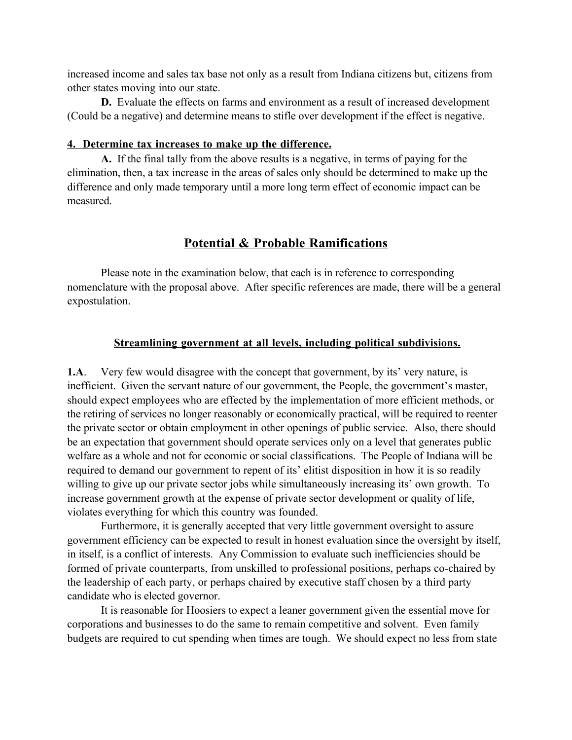increased income and sales tax base not only as a result from Indiana citizens but, citizens from other states moving into our state.

**D.** Evaluate the effects on farms and environment as a result of increased development (Could be a negative) and determine means to stifle over development if the effect is negative.

#### **4. Determine tax increases to make up the difference.**

**A.** If the final tally from the above results is a negative, in terms of paying for the elimination, then, a tax increase in the areas of sales only should be determined to make up the difference and only made temporary until a more long term effect of economic impact can be measured.

### **Potential & Probable Ramifications**

Please note in the examination below, that each is in reference to corresponding nomenclature with the proposal above. After specific references are made, there will be a general expostulation.

### **Streamlining government at all levels, including political subdivisions.**

**1.A**. Very few would disagree with the concept that government, by its' very nature, is inefficient. Given the servant nature of our government, the People, the government's master, should expect employees who are effected by the implementation of more efficient methods, or the retiring of services no longer reasonably or economically practical, will be required to reenter the private sector or obtain employment in other openings of public service. Also, there should be an expectation that government should operate services only on a level that generates public welfare as a whole and not for economic or social classifications. The People of Indiana will be required to demand our government to repent of its' elitist disposition in how it is so readily willing to give up our private sector jobs while simultaneously increasing its' own growth. To increase government growth at the expense of private sector development or quality of life, violates everything for which this country was founded.

Furthermore, it is generally accepted that very little government oversight to assure government efficiency can be expected to result in honest evaluation since the oversight by itself, in itself, is a conflict of interests. Any Commission to evaluate such inefficiencies should be formed of private counterparts, from unskilled to professional positions, perhaps co-chaired by the leadership of each party, or perhaps chaired by executive staff chosen by a third party candidate who is elected governor.

It is reasonable for Hoosiers to expect a leaner government given the essential move for corporations and businesses to do the same to remain competitive and solvent. Even family budgets are required to cut spending when times are tough. We should expect no less from state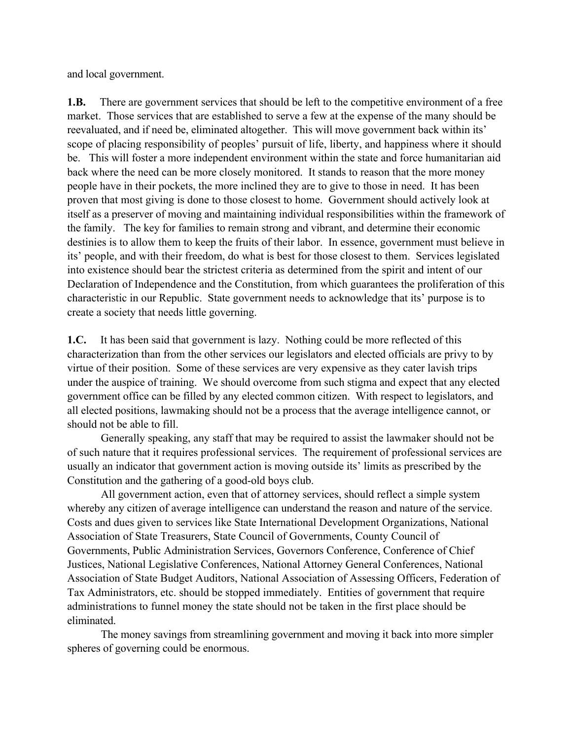and local government.

**1.B.** There are government services that should be left to the competitive environment of a free market. Those services that are established to serve a few at the expense of the many should be reevaluated, and if need be, eliminated altogether. This will move government back within its' scope of placing responsibility of peoples' pursuit of life, liberty, and happiness where it should be. This will foster a more independent environment within the state and force humanitarian aid back where the need can be more closely monitored. It stands to reason that the more money people have in their pockets, the more inclined they are to give to those in need. It has been proven that most giving is done to those closest to home. Government should actively look at itself as a preserver of moving and maintaining individual responsibilities within the framework of the family. The key for families to remain strong and vibrant, and determine their economic destinies is to allow them to keep the fruits of their labor. In essence, government must believe in its' people, and with their freedom, do what is best for those closest to them. Services legislated into existence should bear the strictest criteria as determined from the spirit and intent of our Declaration of Independence and the Constitution, from which guarantees the proliferation of this characteristic in our Republic. State government needs to acknowledge that its' purpose is to create a society that needs little governing.

**1.C.** It has been said that government is lazy. Nothing could be more reflected of this characterization than from the other services our legislators and elected officials are privy to by virtue of their position. Some of these services are very expensive as they cater lavish trips under the auspice of training. We should overcome from such stigma and expect that any elected government office can be filled by any elected common citizen. With respect to legislators, and all elected positions, lawmaking should not be a process that the average intelligence cannot, or should not be able to fill.

Generally speaking, any staff that may be required to assist the lawmaker should not be of such nature that it requires professional services. The requirement of professional services are usually an indicator that government action is moving outside its' limits as prescribed by the Constitution and the gathering of a good-old boys club.

All government action, even that of attorney services, should reflect a simple system whereby any citizen of average intelligence can understand the reason and nature of the service. Costs and dues given to services like State International Development Organizations, National Association of State Treasurers, State Council of Governments, County Council of Governments, Public Administration Services, Governors Conference, Conference of Chief Justices, National Legislative Conferences, National Attorney General Conferences, National Association of State Budget Auditors, National Association of Assessing Officers, Federation of Tax Administrators, etc. should be stopped immediately. Entities of government that require administrations to funnel money the state should not be taken in the first place should be eliminated.

The money savings from streamlining government and moving it back into more simpler spheres of governing could be enormous.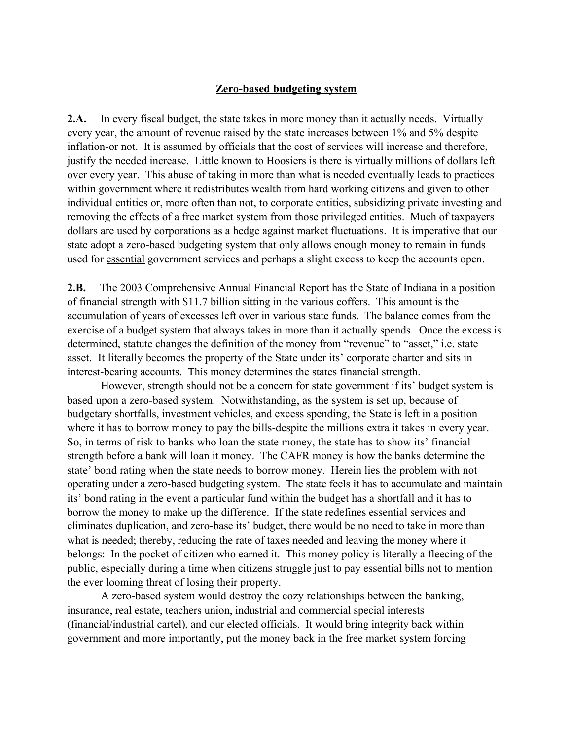### **Zero-based budgeting system**

**2.A.** In every fiscal budget, the state takes in more money than it actually needs. Virtually every year, the amount of revenue raised by the state increases between 1% and 5% despite inflation-or not. It is assumed by officials that the cost of services will increase and therefore, justify the needed increase. Little known to Hoosiers is there is virtually millions of dollars left over every year. This abuse of taking in more than what is needed eventually leads to practices within government where it redistributes wealth from hard working citizens and given to other individual entities or, more often than not, to corporate entities, subsidizing private investing and removing the effects of a free market system from those privileged entities. Much of taxpayers dollars are used by corporations as a hedge against market fluctuations. It is imperative that our state adopt a zero-based budgeting system that only allows enough money to remain in funds used for essential government services and perhaps a slight excess to keep the accounts open.

**2.B.** The 2003 Comprehensive Annual Financial Report has the State of Indiana in a position of financial strength with \$11.7 billion sitting in the various coffers. This amount is the accumulation of years of excesses left over in various state funds. The balance comes from the exercise of a budget system that always takes in more than it actually spends. Once the excess is determined, statute changes the definition of the money from "revenue" to "asset," i.e. state asset. It literally becomes the property of the State under its' corporate charter and sits in interest-bearing accounts. This money determines the states financial strength.

However, strength should not be a concern for state government if its' budget system is based upon a zero-based system. Notwithstanding, as the system is set up, because of budgetary shortfalls, investment vehicles, and excess spending, the State is left in a position where it has to borrow money to pay the bills-despite the millions extra it takes in every year. So, in terms of risk to banks who loan the state money, the state has to show its' financial strength before a bank will loan it money. The CAFR money is how the banks determine the state' bond rating when the state needs to borrow money. Herein lies the problem with not operating under a zero-based budgeting system. The state feels it has to accumulate and maintain its' bond rating in the event a particular fund within the budget has a shortfall and it has to borrow the money to make up the difference. If the state redefines essential services and eliminates duplication, and zero-base its' budget, there would be no need to take in more than what is needed; thereby, reducing the rate of taxes needed and leaving the money where it belongs: In the pocket of citizen who earned it. This money policy is literally a fleecing of the public, especially during a time when citizens struggle just to pay essential bills not to mention the ever looming threat of losing their property.

A zero-based system would destroy the cozy relationships between the banking, insurance, real estate, teachers union, industrial and commercial special interests (financial/industrial cartel), and our elected officials. It would bring integrity back within government and more importantly, put the money back in the free market system forcing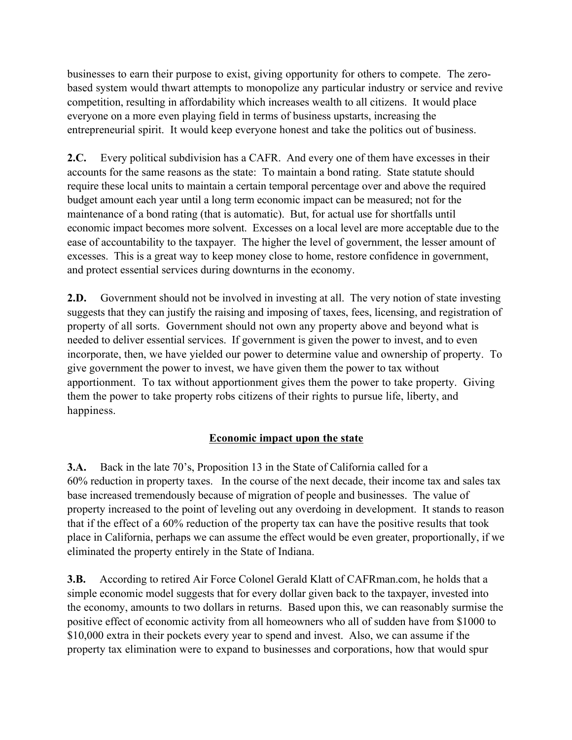businesses to earn their purpose to exist, giving opportunity for others to compete. The zerobased system would thwart attempts to monopolize any particular industry or service and revive competition, resulting in affordability which increases wealth to all citizens. It would place everyone on a more even playing field in terms of business upstarts, increasing the entrepreneurial spirit. It would keep everyone honest and take the politics out of business.

**2.C.** Every political subdivision has a CAFR. And every one of them have excesses in their accounts for the same reasons as the state: To maintain a bond rating. State statute should require these local units to maintain a certain temporal percentage over and above the required budget amount each year until a long term economic impact can be measured; not for the maintenance of a bond rating (that is automatic). But, for actual use for shortfalls until economic impact becomes more solvent. Excesses on a local level are more acceptable due to the ease of accountability to the taxpayer. The higher the level of government, the lesser amount of excesses. This is a great way to keep money close to home, restore confidence in government, and protect essential services during downturns in the economy.

**2.D.** Government should not be involved in investing at all. The very notion of state investing suggests that they can justify the raising and imposing of taxes, fees, licensing, and registration of property of all sorts. Government should not own any property above and beyond what is needed to deliver essential services. If government is given the power to invest, and to even incorporate, then, we have yielded our power to determine value and ownership of property. To give government the power to invest, we have given them the power to tax without apportionment. To tax without apportionment gives them the power to take property. Giving them the power to take property robs citizens of their rights to pursue life, liberty, and happiness.

### **Economic impact upon the state**

**3.A.** Back in the late 70's, Proposition 13 in the State of California called for a 60% reduction in property taxes. In the course of the next decade, their income tax and sales tax base increased tremendously because of migration of people and businesses. The value of property increased to the point of leveling out any overdoing in development. It stands to reason that if the effect of a 60% reduction of the property tax can have the positive results that took place in California, perhaps we can assume the effect would be even greater, proportionally, if we eliminated the property entirely in the State of Indiana.

**3.B.** According to retired Air Force Colonel Gerald Klatt of CAFRman.com, he holds that a simple economic model suggests that for every dollar given back to the taxpayer, invested into the economy, amounts to two dollars in returns. Based upon this, we can reasonably surmise the positive effect of economic activity from all homeowners who all of sudden have from \$1000 to \$10,000 extra in their pockets every year to spend and invest. Also, we can assume if the property tax elimination were to expand to businesses and corporations, how that would spur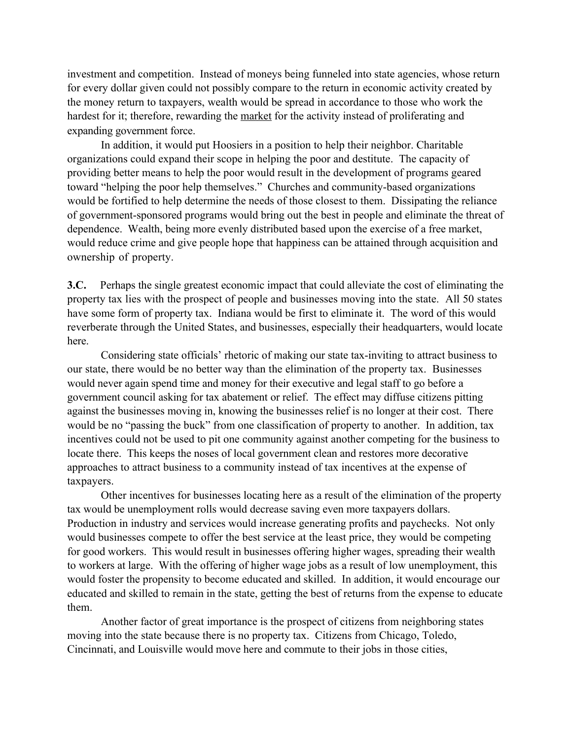investment and competition. Instead of moneys being funneled into state agencies, whose return for every dollar given could not possibly compare to the return in economic activity created by the money return to taxpayers, wealth would be spread in accordance to those who work the hardest for it; therefore, rewarding the market for the activity instead of proliferating and expanding government force.

In addition, it would put Hoosiers in a position to help their neighbor. Charitable organizations could expand their scope in helping the poor and destitute. The capacity of providing better means to help the poor would result in the development of programs geared toward "helping the poor help themselves." Churches and community-based organizations would be fortified to help determine the needs of those closest to them. Dissipating the reliance of government-sponsored programs would bring out the best in people and eliminate the threat of dependence. Wealth, being more evenly distributed based upon the exercise of a free market, would reduce crime and give people hope that happiness can be attained through acquisition and ownership of property.

**3.C.** Perhaps the single greatest economic impact that could alleviate the cost of eliminating the property tax lies with the prospect of people and businesses moving into the state. All 50 states have some form of property tax. Indiana would be first to eliminate it. The word of this would reverberate through the United States, and businesses, especially their headquarters, would locate here.

Considering state officials' rhetoric of making our state tax-inviting to attract business to our state, there would be no better way than the elimination of the property tax. Businesses would never again spend time and money for their executive and legal staff to go before a government council asking for tax abatement or relief. The effect may diffuse citizens pitting against the businesses moving in, knowing the businesses relief is no longer at their cost. There would be no "passing the buck" from one classification of property to another. In addition, tax incentives could not be used to pit one community against another competing for the business to locate there. This keeps the noses of local government clean and restores more decorative approaches to attract business to a community instead of tax incentives at the expense of taxpayers.

Other incentives for businesses locating here as a result of the elimination of the property tax would be unemployment rolls would decrease saving even more taxpayers dollars. Production in industry and services would increase generating profits and paychecks. Not only would businesses compete to offer the best service at the least price, they would be competing for good workers. This would result in businesses offering higher wages, spreading their wealth to workers at large. With the offering of higher wage jobs as a result of low unemployment, this would foster the propensity to become educated and skilled. In addition, it would encourage our educated and skilled to remain in the state, getting the best of returns from the expense to educate them.

Another factor of great importance is the prospect of citizens from neighboring states moving into the state because there is no property tax. Citizens from Chicago, Toledo, Cincinnati, and Louisville would move here and commute to their jobs in those cities,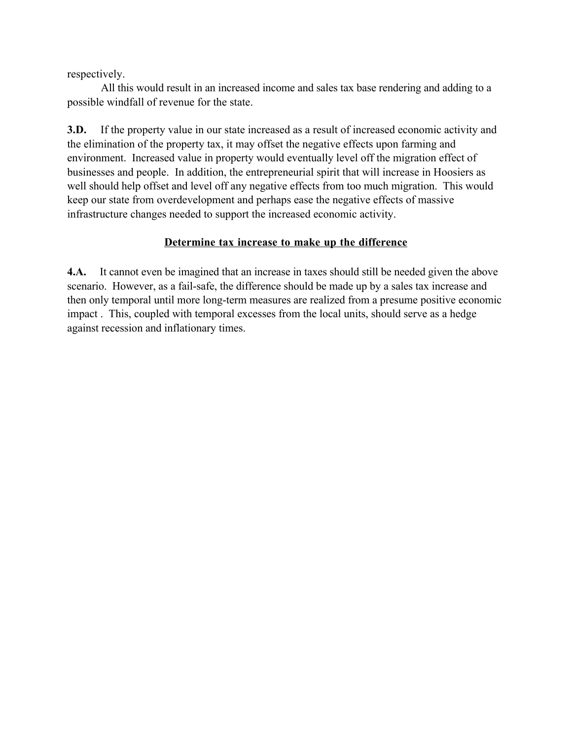respectively.

All this would result in an increased income and sales tax base rendering and adding to a possible windfall of revenue for the state.

**3.D.** If the property value in our state increased as a result of increased economic activity and the elimination of the property tax, it may offset the negative effects upon farming and environment. Increased value in property would eventually level off the migration effect of businesses and people. In addition, the entrepreneurial spirit that will increase in Hoosiers as well should help offset and level off any negative effects from too much migration. This would keep our state from overdevelopment and perhaps ease the negative effects of massive infrastructure changes needed to support the increased economic activity.

### **Determine tax increase to make up the difference**

**4.A.** It cannot even be imagined that an increase in taxes should still be needed given the above scenario. However, as a fail-safe, the difference should be made up by a sales tax increase and then only temporal until more long-term measures are realized from a presume positive economic impact . This, coupled with temporal excesses from the local units, should serve as a hedge against recession and inflationary times.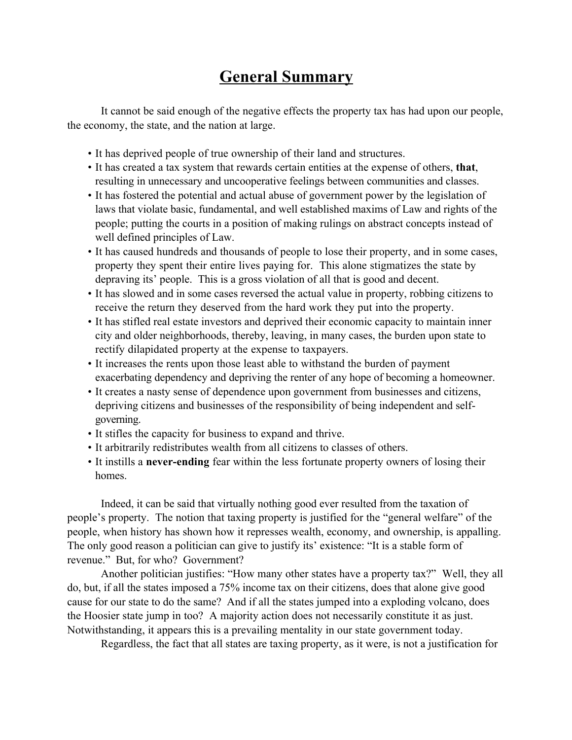## **General Summary**

It cannot be said enough of the negative effects the property tax has had upon our people, the economy, the state, and the nation at large.

- It has deprived people of true ownership of their land and structures.
- It has created a tax system that rewards certain entities at the expense of others, **that**, resulting in unnecessary and uncooperative feelings between communities and classes.
- It has fostered the potential and actual abuse of government power by the legislation of laws that violate basic, fundamental, and well established maxims of Law and rights of the people; putting the courts in a position of making rulings on abstract concepts instead of well defined principles of Law.
- It has caused hundreds and thousands of people to lose their property, and in some cases, property they spent their entire lives paying for. This alone stigmatizes the state by depraving its' people. This is a gross violation of all that is good and decent.
- It has slowed and in some cases reversed the actual value in property, robbing citizens to receive the return they deserved from the hard work they put into the property.
- It has stifled real estate investors and deprived their economic capacity to maintain inner city and older neighborhoods, thereby, leaving, in many cases, the burden upon state to rectify dilapidated property at the expense to taxpayers.
- It increases the rents upon those least able to withstand the burden of payment exacerbating dependency and depriving the renter of any hope of becoming a homeowner.
- It creates a nasty sense of dependence upon government from businesses and citizens, depriving citizens and businesses of the responsibility of being independent and selfgoverning.
- It stifles the capacity for business to expand and thrive.
- It arbitrarily redistributes wealth from all citizens to classes of others.
- It instills a **never-ending** fear within the less fortunate property owners of losing their homes.

Indeed, it can be said that virtually nothing good ever resulted from the taxation of people's property. The notion that taxing property is justified for the "general welfare" of the people, when history has shown how it represses wealth, economy, and ownership, is appalling. The only good reason a politician can give to justify its' existence: "It is a stable form of revenue." But, for who? Government?

Another politician justifies: "How many other states have a property tax?" Well, they all do, but, if all the states imposed a 75% income tax on their citizens, does that alone give good cause for our state to do the same? And if all the states jumped into a exploding volcano, does the Hoosier state jump in too? A majority action does not necessarily constitute it as just. Notwithstanding, it appears this is a prevailing mentality in our state government today.

Regardless, the fact that all states are taxing property, as it were, is not a justification for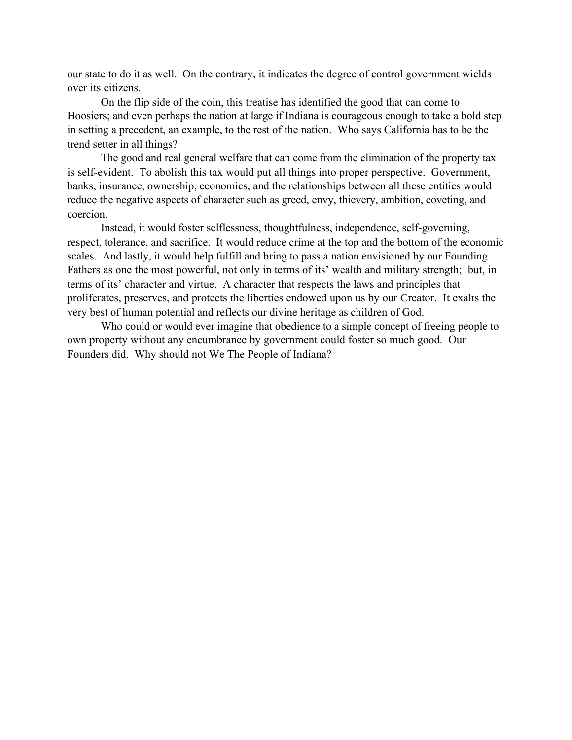our state to do it as well. On the contrary, it indicates the degree of control government wields over its citizens.

On the flip side of the coin, this treatise has identified the good that can come to Hoosiers; and even perhaps the nation at large if Indiana is courageous enough to take a bold step in setting a precedent, an example, to the rest of the nation. Who says California has to be the trend setter in all things?

The good and real general welfare that can come from the elimination of the property tax is self-evident. To abolish this tax would put all things into proper perspective. Government, banks, insurance, ownership, economics, and the relationships between all these entities would reduce the negative aspects of character such as greed, envy, thievery, ambition, coveting, and coercion.

Instead, it would foster selflessness, thoughtfulness, independence, self-governing, respect, tolerance, and sacrifice. It would reduce crime at the top and the bottom of the economic scales. And lastly, it would help fulfill and bring to pass a nation envisioned by our Founding Fathers as one the most powerful, not only in terms of its' wealth and military strength; but, in terms of its' character and virtue. A character that respects the laws and principles that proliferates, preserves, and protects the liberties endowed upon us by our Creator. It exalts the very best of human potential and reflects our divine heritage as children of God.

Who could or would ever imagine that obedience to a simple concept of freeing people to own property without any encumbrance by government could foster so much good. Our Founders did. Why should not We The People of Indiana?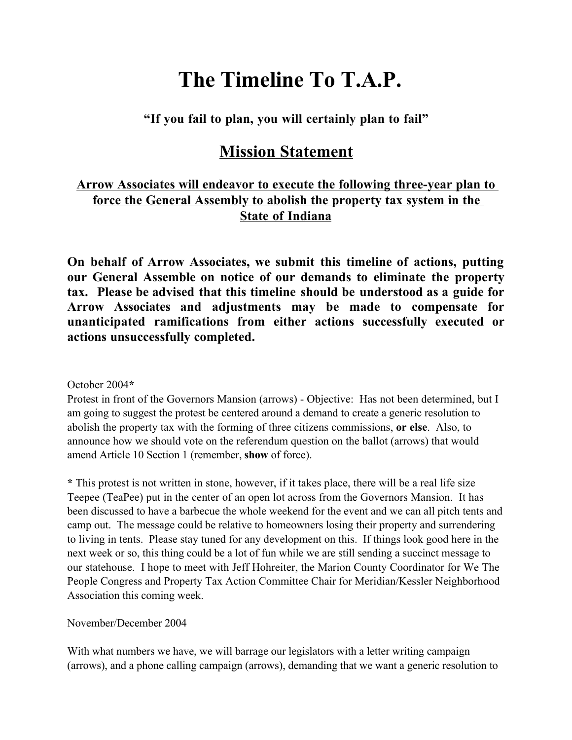## **The Timeline To T.A.P.**

**"If you fail to plan, you will certainly plan to fail"** 

### **Mission Statement**

### **Arrow Associates will endeavor to execute the following three-year plan to force the General Assembly to abolish the property tax system in the State of Indiana**

**On behalf of Arrow Associates, we submit this timeline of actions, putting our General Assemble on notice of our demands to eliminate the property tax. Please be advised that this timeline should be understood as a guide for Arrow Associates and adjustments may be made to compensate for unanticipated ramifications from either actions successfully executed or actions unsuccessfully completed.**

### October 2004**\***

Protest in front of the Governors Mansion (arrows) - Objective: Has not been determined, but I am going to suggest the protest be centered around a demand to create a generic resolution to abolish the property tax with the forming of three citizens commissions, **or else**. Also, to announce how we should vote on the referendum question on the ballot (arrows) that would amend Article 10 Section 1 (remember, **show** of force).

**\*** This protest is not written in stone, however, if it takes place, there will be a real life size Teepee (TeaPee) put in the center of an open lot across from the Governors Mansion. It has been discussed to have a barbecue the whole weekend for the event and we can all pitch tents and camp out. The message could be relative to homeowners losing their property and surrendering to living in tents. Please stay tuned for any development on this. If things look good here in the next week or so, this thing could be a lot of fun while we are still sending a succinct message to our statehouse. I hope to meet with Jeff Hohreiter, the Marion County Coordinator for We The People Congress and Property Tax Action Committee Chair for Meridian/Kessler Neighborhood Association this coming week.

### November/December 2004

With what numbers we have, we will barrage our legislators with a letter writing campaign (arrows), and a phone calling campaign (arrows), demanding that we want a generic resolution to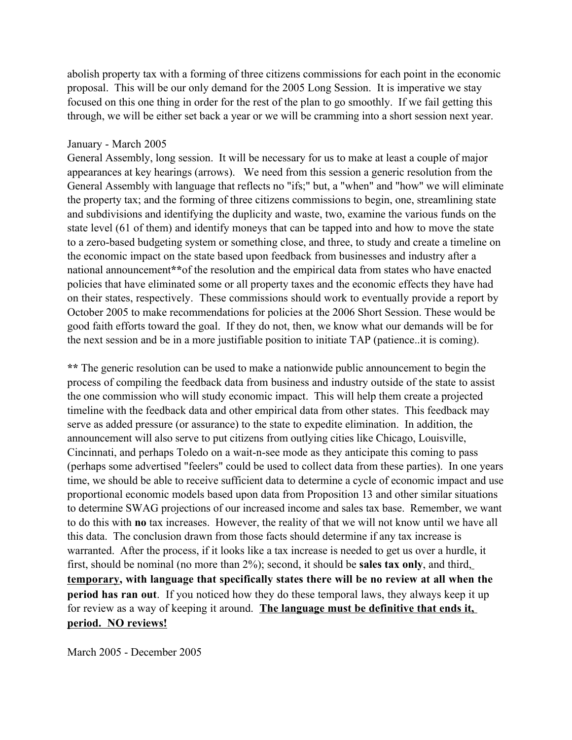abolish property tax with a forming of three citizens commissions for each point in the economic proposal. This will be our only demand for the 2005 Long Session. It is imperative we stay focused on this one thing in order for the rest of the plan to go smoothly. If we fail getting this through, we will be either set back a year or we will be cramming into a short session next year.

#### January - March 2005

General Assembly, long session. It will be necessary for us to make at least a couple of major appearances at key hearings (arrows). We need from this session a generic resolution from the General Assembly with language that reflects no "ifs;" but, a "when" and "how" we will eliminate the property tax; and the forming of three citizens commissions to begin, one, streamlining state and subdivisions and identifying the duplicity and waste, two, examine the various funds on the state level (61 of them) and identify moneys that can be tapped into and how to move the state to a zero-based budgeting system or something close, and three, to study and create a timeline on the economic impact on the state based upon feedback from businesses and industry after a national announcement**\*\***of the resolution and the empirical data from states who have enacted policies that have eliminated some or all property taxes and the economic effects they have had on their states, respectively. These commissions should work to eventually provide a report by October 2005 to make recommendations for policies at the 2006 Short Session. These would be good faith efforts toward the goal. If they do not, then, we know what our demands will be for the next session and be in a more justifiable position to initiate TAP (patience..it is coming).

**\*\*** The generic resolution can be used to make a nationwide public announcement to begin the process of compiling the feedback data from business and industry outside of the state to assist the one commission who will study economic impact. This will help them create a projected timeline with the feedback data and other empirical data from other states. This feedback may serve as added pressure (or assurance) to the state to expedite elimination. In addition, the announcement will also serve to put citizens from outlying cities like Chicago, Louisville, Cincinnati, and perhaps Toledo on a wait-n-see mode as they anticipate this coming to pass (perhaps some advertised "feelers" could be used to collect data from these parties). In one years time, we should be able to receive sufficient data to determine a cycle of economic impact and use proportional economic models based upon data from Proposition 13 and other similar situations to determine SWAG projections of our increased income and sales tax base. Remember, we want to do this with **no** tax increases. However, the reality of that we will not know until we have all this data. The conclusion drawn from those facts should determine if any tax increase is warranted. After the process, if it looks like a tax increase is needed to get us over a hurdle, it first, should be nominal (no more than 2%); second, it should be **sales tax only**, and third, **temporary, with language that specifically states there will be no review at all when the period has ran out**. If you noticed how they do these temporal laws, they always keep it up for review as a way of keeping it around. **The language must be definitive that ends it, period. NO reviews!**

March 2005 - December 2005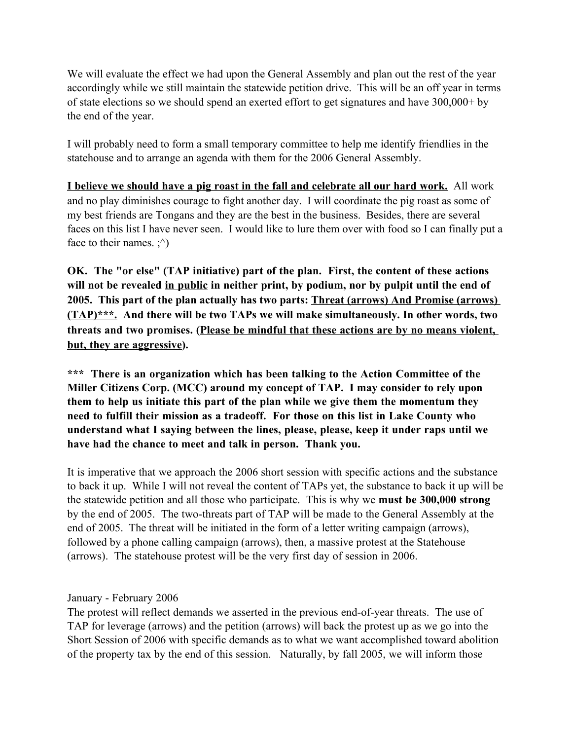We will evaluate the effect we had upon the General Assembly and plan out the rest of the year accordingly while we still maintain the statewide petition drive. This will be an off year in terms of state elections so we should spend an exerted effort to get signatures and have 300,000+ by the end of the year.

I will probably need to form a small temporary committee to help me identify friendlies in the statehouse and to arrange an agenda with them for the 2006 General Assembly.

**I believe we should have a pig roast in the fall and celebrate all our hard work.** All work and no play diminishes courage to fight another day. I will coordinate the pig roast as some of my best friends are Tongans and they are the best in the business. Besides, there are several faces on this list I have never seen. I would like to lure them over with food so I can finally put a face to their names.  $\cdot^{\wedge}$ )

**OK. The "or else" (TAP initiative) part of the plan. First, the content of these actions will not be revealed in public in neither print, by podium, nor by pulpit until the end of 2005. This part of the plan actually has two parts: Threat (arrows) And Promise (arrows) (TAP)\*\*\*. And there will be two TAPs we will make simultaneously. In other words, two threats and two promises. (Please be mindful that these actions are by no means violent, but, they are aggressive).** 

**\*\*\* There is an organization which has been talking to the Action Committee of the Miller Citizens Corp. (MCC) around my concept of TAP. I may consider to rely upon them to help us initiate this part of the plan while we give them the momentum they need to fulfill their mission as a tradeoff. For those on this list in Lake County who understand what I saying between the lines, please, please, keep it under raps until we have had the chance to meet and talk in person. Thank you.**

It is imperative that we approach the 2006 short session with specific actions and the substance to back it up. While I will not reveal the content of TAPs yet, the substance to back it up will be the statewide petition and all those who participate. This is why we **must be 300,000 strong** by the end of 2005. The two-threats part of TAP will be made to the General Assembly at the end of 2005. The threat will be initiated in the form of a letter writing campaign (arrows), followed by a phone calling campaign (arrows), then, a massive protest at the Statehouse (arrows). The statehouse protest will be the very first day of session in 2006.

January - February 2006

The protest will reflect demands we asserted in the previous end-of-year threats. The use of TAP for leverage (arrows) and the petition (arrows) will back the protest up as we go into the Short Session of 2006 with specific demands as to what we want accomplished toward abolition of the property tax by the end of this session. Naturally, by fall 2005, we will inform those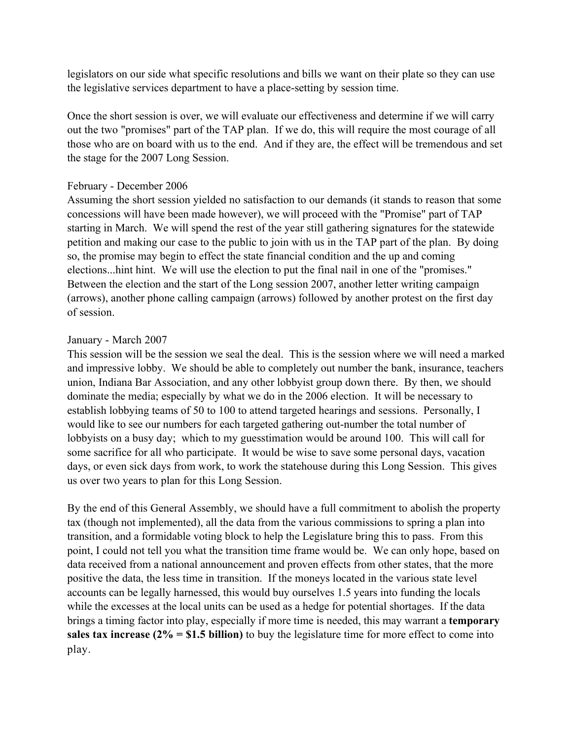legislators on our side what specific resolutions and bills we want on their plate so they can use the legislative services department to have a place-setting by session time.

Once the short session is over, we will evaluate our effectiveness and determine if we will carry out the two "promises" part of the TAP plan. If we do, this will require the most courage of all those who are on board with us to the end. And if they are, the effect will be tremendous and set the stage for the 2007 Long Session.

### February - December 2006

Assuming the short session yielded no satisfaction to our demands (it stands to reason that some concessions will have been made however), we will proceed with the "Promise" part of TAP starting in March. We will spend the rest of the year still gathering signatures for the statewide petition and making our case to the public to join with us in the TAP part of the plan. By doing so, the promise may begin to effect the state financial condition and the up and coming elections...hint hint. We will use the election to put the final nail in one of the "promises." Between the election and the start of the Long session 2007, another letter writing campaign (arrows), another phone calling campaign (arrows) followed by another protest on the first day of session.

### January - March 2007

This session will be the session we seal the deal. This is the session where we will need a marked and impressive lobby. We should be able to completely out number the bank, insurance, teachers union, Indiana Bar Association, and any other lobbyist group down there. By then, we should dominate the media; especially by what we do in the 2006 election. It will be necessary to establish lobbying teams of 50 to 100 to attend targeted hearings and sessions. Personally, I would like to see our numbers for each targeted gathering out-number the total number of lobbyists on a busy day; which to my guesstimation would be around 100. This will call for some sacrifice for all who participate. It would be wise to save some personal days, vacation days, or even sick days from work, to work the statehouse during this Long Session. This gives us over two years to plan for this Long Session.

By the end of this General Assembly, we should have a full commitment to abolish the property tax (though not implemented), all the data from the various commissions to spring a plan into transition, and a formidable voting block to help the Legislature bring this to pass. From this point, I could not tell you what the transition time frame would be. We can only hope, based on data received from a national announcement and proven effects from other states, that the more positive the data, the less time in transition. If the moneys located in the various state level accounts can be legally harnessed, this would buy ourselves 1.5 years into funding the locals while the excesses at the local units can be used as a hedge for potential shortages. If the data brings a timing factor into play, especially if more time is needed, this may warrant a **temporary sales tax increase (2% = \$1.5 billion)** to buy the legislature time for more effect to come into play.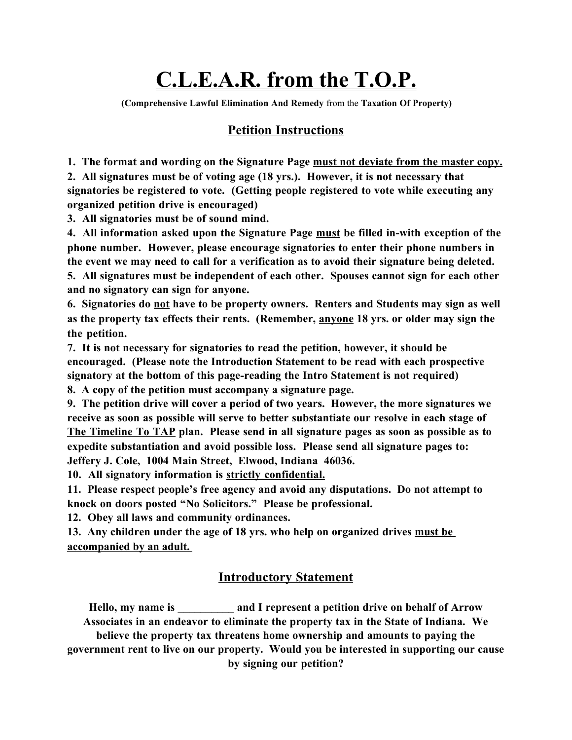# **C.L.E.A.R. from the T.O.P.**

**(Comprehensive Lawful Elimination And Remedy** from the **Taxation Of Property)**

### **Petition Instructions**

**1. The format and wording on the Signature Page must not deviate from the master copy.**

**2. All signatures must be of voting age (18 yrs.). However, it is not necessary that signatories be registered to vote. (Getting people registered to vote while executing any organized petition drive is encouraged)**

**3. All signatories must be of sound mind.**

**4. All information asked upon the Signature Page must be filled in-with exception of the phone number. However, please encourage signatories to enter their phone numbers in the event we may need to call for a verification as to avoid their signature being deleted. 5. All signatures must be independent of each other. Spouses cannot sign for each other and no signatory can sign for anyone.**

**6. Signatories do not have to be property owners. Renters and Students may sign as well as the property tax effects their rents. (Remember, anyone 18 yrs. or older may sign the the petition.**

**7. It is not necessary for signatories to read the petition, however, it should be encouraged. (Please note the Introduction Statement to be read with each prospective signatory at the bottom of this page-reading the Intro Statement is not required) 8. A copy of the petition must accompany a signature page.**

**9. The petition drive will cover a period of two years. However, the more signatures we receive as soon as possible will serve to better substantiate our resolve in each stage of The Timeline To TAP plan. Please send in all signature pages as soon as possible as to expedite substantiation and avoid possible loss. Please send all signature pages to: Jeffery J. Cole, 1004 Main Street, Elwood, Indiana 46036.**

**10. All signatory information is strictly confidential.**

**11. Please respect people's free agency and avoid any disputations. Do not attempt to knock on doors posted "No Solicitors." Please be professional.**

**12. Obey all laws and community ordinances.**

**13. Any children under the age of 18 yrs. who help on organized drives must be accompanied by an adult.** 

### **Introductory Statement**

**Hello, my name is \_\_\_\_\_\_\_\_\_\_ and I represent a petition drive on behalf of Arrow Associates in an endeavor to eliminate the property tax in the State of Indiana. We believe the property tax threatens home ownership and amounts to paying the government rent to live on our property. Would you be interested in supporting our cause by signing our petition?**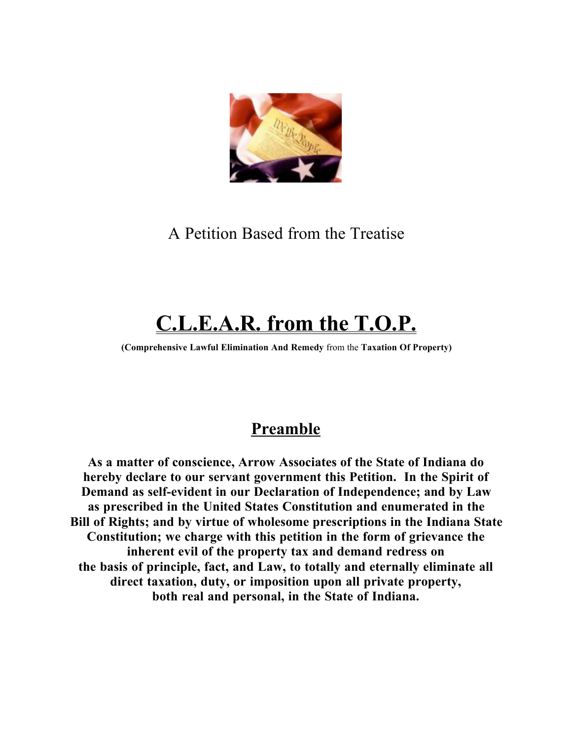

A Petition Based from the Treatise

# **C.L.E.A.R. from the T.O.P.**

**(Comprehensive Lawful Elimination And Remedy** from the **Taxation Of Property)**

### **Preamble**

**As a matter of conscience, Arrow Associates of the State of Indiana do hereby declare to our servant government this Petition. In the Spirit of Demand as self-evident in our Declaration of Independence; and by Law as prescribed in the United States Constitution and enumerated in the Bill of Rights; and by virtue of wholesome prescriptions in the Indiana State Constitution; we charge with this petition in the form of grievance the inherent evil of the property tax and demand redress on the basis of principle, fact, and Law, to totally and eternally eliminate all direct taxation, duty, or imposition upon all private property, both real and personal, in the State of Indiana.**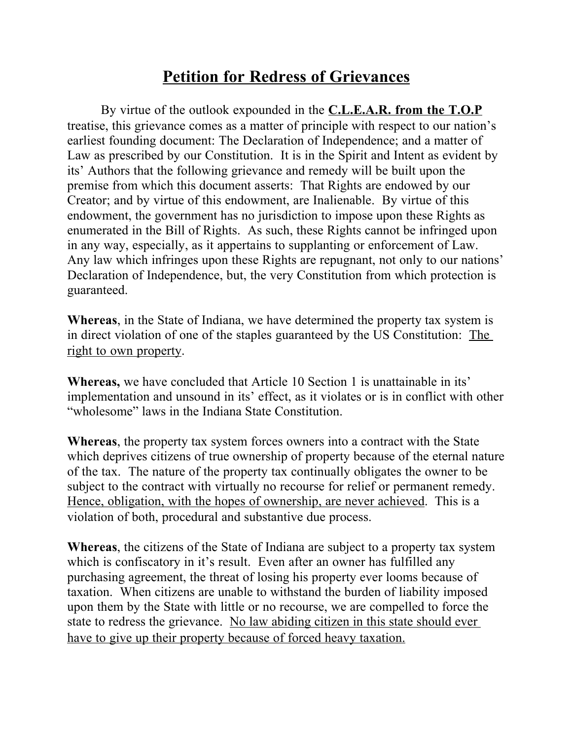### **Petition for Redress of Grievances**

By virtue of the outlook expounded in the **C.L.E.A.R. from the T.O.P** treatise, this grievance comes as a matter of principle with respect to our nation's earliest founding document: The Declaration of Independence; and a matter of Law as prescribed by our Constitution. It is in the Spirit and Intent as evident by its' Authors that the following grievance and remedy will be built upon the premise from which this document asserts: That Rights are endowed by our Creator; and by virtue of this endowment, are Inalienable. By virtue of this endowment, the government has no jurisdiction to impose upon these Rights as enumerated in the Bill of Rights. As such, these Rights cannot be infringed upon in any way, especially, as it appertains to supplanting or enforcement of Law. Any law which infringes upon these Rights are repugnant, not only to our nations' Declaration of Independence, but, the very Constitution from which protection is guaranteed.

**Whereas**, in the State of Indiana, we have determined the property tax system is in direct violation of one of the staples guaranteed by the US Constitution: The right to own property.

**Whereas,** we have concluded that Article 10 Section 1 is unattainable in its' implementation and unsound in its' effect, as it violates or is in conflict with other "wholesome" laws in the Indiana State Constitution.

**Whereas**, the property tax system forces owners into a contract with the State which deprives citizens of true ownership of property because of the eternal nature of the tax. The nature of the property tax continually obligates the owner to be subject to the contract with virtually no recourse for relief or permanent remedy. Hence, obligation, with the hopes of ownership, are never achieved. This is a violation of both, procedural and substantive due process.

**Whereas**, the citizens of the State of Indiana are subject to a property tax system which is confiscatory in it's result. Even after an owner has fulfilled any purchasing agreement, the threat of losing his property ever looms because of taxation. When citizens are unable to withstand the burden of liability imposed upon them by the State with little or no recourse, we are compelled to force the state to redress the grievance. No law abiding citizen in this state should ever have to give up their property because of forced heavy taxation.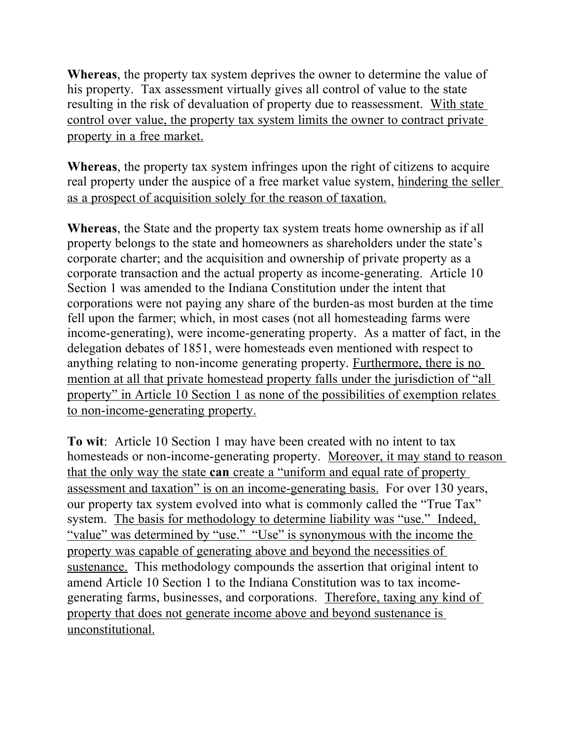**Whereas**, the property tax system deprives the owner to determine the value of his property. Tax assessment virtually gives all control of value to the state resulting in the risk of devaluation of property due to reassessment. With state control over value, the property tax system limits the owner to contract private property in a free market.

**Whereas**, the property tax system infringes upon the right of citizens to acquire real property under the auspice of a free market value system, hindering the seller as a prospect of acquisition solely for the reason of taxation.

**Whereas**, the State and the property tax system treats home ownership as if all property belongs to the state and homeowners as shareholders under the state's corporate charter; and the acquisition and ownership of private property as a corporate transaction and the actual property as income-generating. Article 10 Section 1 was amended to the Indiana Constitution under the intent that corporations were not paying any share of the burden-as most burden at the time fell upon the farmer; which, in most cases (not all homesteading farms were income-generating), were income-generating property. As a matter of fact, in the delegation debates of 1851, were homesteads even mentioned with respect to anything relating to non-income generating property. Furthermore, there is no mention at all that private homestead property falls under the jurisdiction of "all property" in Article 10 Section 1 as none of the possibilities of exemption relates to non-income-generating property.

**To wit**: Article 10 Section 1 may have been created with no intent to tax homesteads or non-income-generating property. Moreover, it may stand to reason that the only way the state **can** create a "uniform and equal rate of property assessment and taxation" is on an income-generating basis. For over 130 years, our property tax system evolved into what is commonly called the "True Tax" system. The basis for methodology to determine liability was "use." Indeed, "value" was determined by "use." "Use" is synonymous with the income the property was capable of generating above and beyond the necessities of sustenance. This methodology compounds the assertion that original intent to amend Article 10 Section 1 to the Indiana Constitution was to tax incomegenerating farms, businesses, and corporations. Therefore, taxing any kind of property that does not generate income above and beyond sustenance is unconstitutional.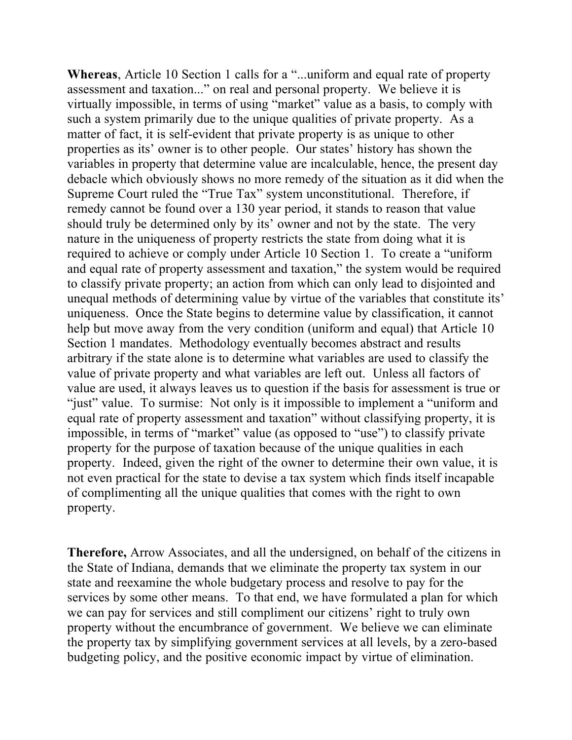**Whereas**, Article 10 Section 1 calls for a "...uniform and equal rate of property assessment and taxation..." on real and personal property. We believe it is virtually impossible, in terms of using "market" value as a basis, to comply with such a system primarily due to the unique qualities of private property. As a matter of fact, it is self-evident that private property is as unique to other properties as its' owner is to other people. Our states' history has shown the variables in property that determine value are incalculable, hence, the present day debacle which obviously shows no more remedy of the situation as it did when the Supreme Court ruled the "True Tax" system unconstitutional. Therefore, if remedy cannot be found over a 130 year period, it stands to reason that value should truly be determined only by its' owner and not by the state. The very nature in the uniqueness of property restricts the state from doing what it is required to achieve or comply under Article 10 Section 1. To create a "uniform and equal rate of property assessment and taxation," the system would be required to classify private property; an action from which can only lead to disjointed and unequal methods of determining value by virtue of the variables that constitute its' uniqueness. Once the State begins to determine value by classification, it cannot help but move away from the very condition (uniform and equal) that Article 10 Section 1 mandates. Methodology eventually becomes abstract and results arbitrary if the state alone is to determine what variables are used to classify the value of private property and what variables are left out. Unless all factors of value are used, it always leaves us to question if the basis for assessment is true or "just" value. To surmise: Not only is it impossible to implement a "uniform and equal rate of property assessment and taxation" without classifying property, it is impossible, in terms of "market" value (as opposed to "use") to classify private property for the purpose of taxation because of the unique qualities in each property. Indeed, given the right of the owner to determine their own value, it is not even practical for the state to devise a tax system which finds itself incapable of complimenting all the unique qualities that comes with the right to own property.

**Therefore,** Arrow Associates, and all the undersigned, on behalf of the citizens in the State of Indiana, demands that we eliminate the property tax system in our state and reexamine the whole budgetary process and resolve to pay for the services by some other means. To that end, we have formulated a plan for which we can pay for services and still compliment our citizens' right to truly own property without the encumbrance of government. We believe we can eliminate the property tax by simplifying government services at all levels, by a zero-based budgeting policy, and the positive economic impact by virtue of elimination.